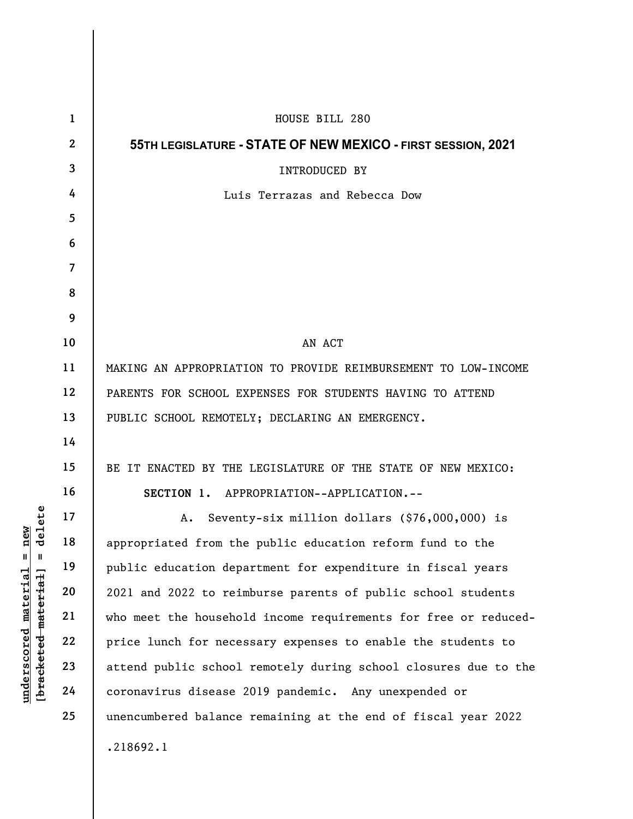|                                                                                                                           | $\mathbf{1}$   | HOUSE BILL 280                                                  |
|---------------------------------------------------------------------------------------------------------------------------|----------------|-----------------------------------------------------------------|
|                                                                                                                           | $\mathbf{2}$   | 55TH LEGISLATURE - STATE OF NEW MEXICO - FIRST SESSION, 2021    |
| new<br>delete<br>$\mathbf{d}$<br>$\blacksquare$<br>$\mathbf{u}$<br><u>material</u><br>[bracketed-material]<br>underscored | 3              | INTRODUCED BY                                                   |
|                                                                                                                           | 4              | Luis Terrazas and Rebecca Dow                                   |
|                                                                                                                           | $\overline{5}$ |                                                                 |
|                                                                                                                           | 6              |                                                                 |
|                                                                                                                           | $\overline{7}$ |                                                                 |
|                                                                                                                           | 8              |                                                                 |
|                                                                                                                           | 9              |                                                                 |
|                                                                                                                           | 10             | AN ACT                                                          |
|                                                                                                                           | 11             | MAKING AN APPROPRIATION TO PROVIDE REIMBURSEMENT TO LOW-INCOME  |
|                                                                                                                           | 12             | PARENTS FOR SCHOOL EXPENSES FOR STUDENTS HAVING TO ATTEND       |
|                                                                                                                           | 13             | PUBLIC SCHOOL REMOTELY; DECLARING AN EMERGENCY.                 |
|                                                                                                                           | 14             |                                                                 |
|                                                                                                                           | 15             | BE IT ENACTED BY THE LEGISLATURE OF THE STATE OF NEW MEXICO:    |
|                                                                                                                           | 16             | SECTION 1. APPROPRIATION--APPLICATION.--                        |
|                                                                                                                           | 17             | Seventy-six million dollars (\$76,000,000) is<br>Α.             |
|                                                                                                                           | 18             | appropriated from the public education reform fund to the       |
|                                                                                                                           | 19             | public education department for expenditure in fiscal years     |
|                                                                                                                           | 20             | 2021 and 2022 to reimburse parents of public school students    |
|                                                                                                                           | 21             | who meet the household income requirements for free or reduced- |
|                                                                                                                           | 22             | price lunch for necessary expenses to enable the students to    |
|                                                                                                                           | 23             | attend public school remotely during school closures due to the |
|                                                                                                                           | 24             | coronavirus disease 2019 pandemic. Any unexpended or            |
|                                                                                                                           | 25             | unencumbered balance remaining at the end of fiscal year 2022   |
|                                                                                                                           |                | .218692.1                                                       |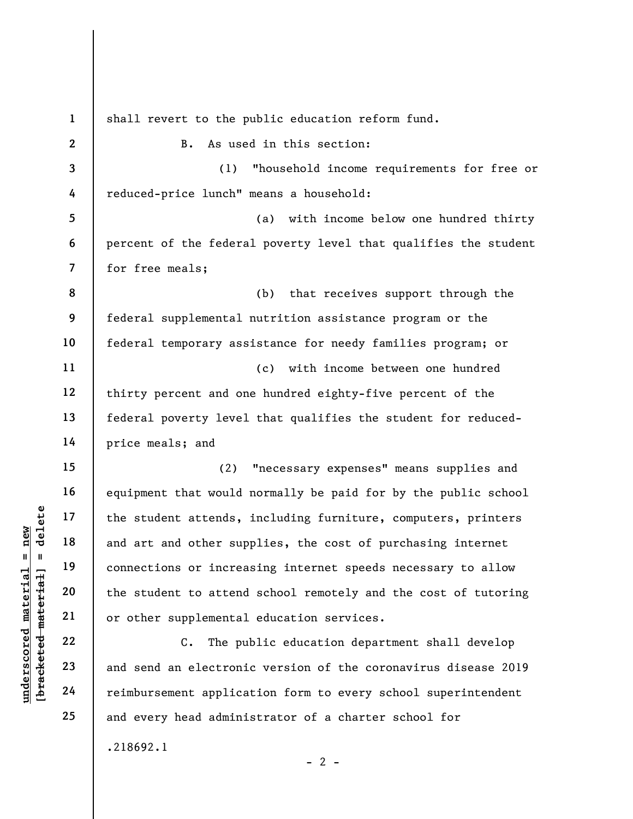underscored material = new [bracketed material] = delete 1 2 3 4 5 6 7 8 9 10 11 12 13 14 15 16 17 18 19 20 21 22 23 24 25 shall revert to the public education reform fund. B. As used in this section: (1) "household income requirements for free or reduced-price lunch" means a household: (a) with income below one hundred thirty percent of the federal poverty level that qualifies the student for free meals; (b) that receives support through the federal supplemental nutrition assistance program or the federal temporary assistance for needy families program; or (c) with income between one hundred thirty percent and one hundred eighty-five percent of the federal poverty level that qualifies the student for reducedprice meals; and (2) "necessary expenses" means supplies and equipment that would normally be paid for by the public school the student attends, including furniture, computers, printers and art and other supplies, the cost of purchasing internet connections or increasing internet speeds necessary to allow the student to attend school remotely and the cost of tutoring or other supplemental education services. C. The public education department shall develop and send an electronic version of the coronavirus disease 2019 reimbursement application form to every school superintendent and every head administrator of a charter school for .218692.1

 $- 2 -$